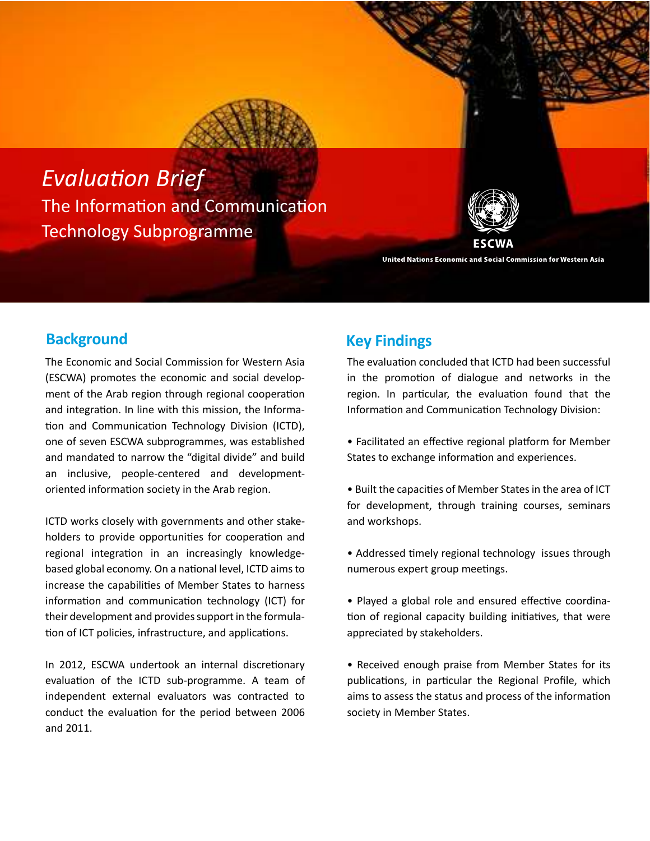



#### United Nations Economic and Social Commission for Western Asia

# **Background Key Findings**

The Economic and Social Commission for Western Asia (ESCWA) promotes the economic and social development of the Arab region through regional cooperation and integration. In line with this mission, the Information and Communication Technology Division (ICTD), one of seven ESCWA subprogrammes, was established and mandated to narrow the "digital divide" and build an inclusive, people-centered and developmentoriented information society in the Arab region.

ICTD works closely with governments and other stakeholders to provide opportunities for cooperation and regional integration in an increasingly knowledgebased global economy. On a national level, ICTD aims to increase the capabilities of Member States to harness information and communication technology (ICT) for their development and provides support in the formula tion of ICT policies, infrastructure, and applications.

In 2012, ESCWA undertook an internal discretionary evaluation of the ICTD sub-programme. A team of independent external evaluators was contracted to conduct the evaluation for the period between 2006 and 2011.

The evaluation concluded that ICTD had been successful in the promotion of dialogue and networks in the region. In particular, the evaluation found that the Information and Communication Technology Division:

- Facilitated an effective regional platform for Member States to exchange information and experiences.
- Built the capacities of Member States in the area of ICT for development, through training courses, seminars and workshops.
- Addressed timely regional technology issues through numerous expert group meetings.
- Played a global role and ensured effective coordination of regional capacity building initiatives, that were appreciated by stakeholders.
- Received enough praise from Member States for its publications, in particular the Regional Profile, which aims to assess the status and process of the information society in Member States.